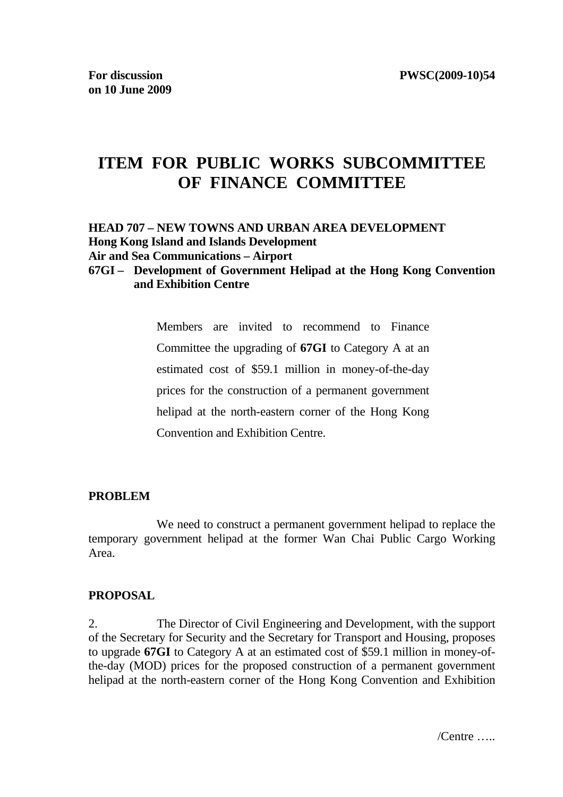# **ITEM FOR PUBLIC WORKS SUBCOMMITTEE OF FINANCE COMMITTEE**

## **HEAD 707 – NEW TOWNS AND URBAN AREA DEVELOPMENT Hong Kong Island and Islands Development Air and Sea Communications – Airport**

#### **67GI – Development of Government Helipad at the Hong Kong Convention and Exhibition Centre**

 Members are invited to recommend to Finance Committee the upgrading of **67GI** to Category A at an estimated cost of \$59.1 million in money-of-the-day prices for the construction of a permanent government helipad at the north-eastern corner of the Hong Kong Convention and Exhibition Centre.

#### **PROBLEM**

 We need to construct a permanent government helipad to replace the temporary government helipad at the former Wan Chai Public Cargo Working Area.

#### **PROPOSAL**

2. The Director of Civil Engineering and Development, with the support of the Secretary for Security and the Secretary for Transport and Housing, proposes to upgrade **67GI** to Category A at an estimated cost of \$59.1 million in money-ofthe-day (MOD) prices for the proposed construction of a permanent government helipad at the north-eastern corner of the Hong Kong Convention and Exhibition

/Centre …..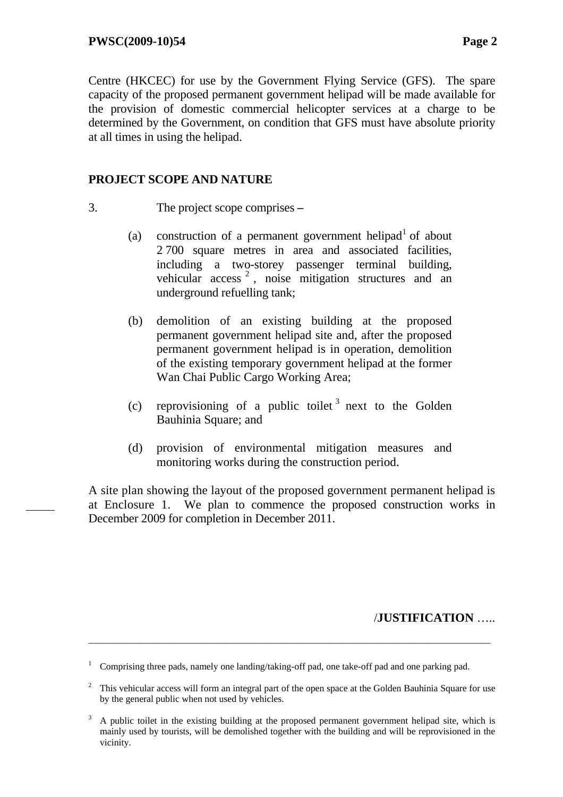Centre (HKCEC) for use by the Government Flying Service (GFS). The spare capacity of the proposed permanent government helipad will be made available for the provision of domestic commercial helicopter services at a charge to be determined by the Government, on condition that GFS must have absolute priority at all times in using the helipad.

#### **PROJECT SCOPE AND NATURE**

- 3. The project scope comprises 
	- (a) construction of a permanent government helipad<sup>1</sup> of about 2 700 square metres in area and associated facilities, including a two-storey passenger terminal building, vehicular access<sup>2</sup>, noise mitigation structures and an underground refuelling tank;
	- (b) demolition of an existing building at the proposed permanent government helipad site and, after the proposed permanent government helipad is in operation, demolition of the existing temporary government helipad at the former Wan Chai Public Cargo Working Area;
	- (c) reprovisioning of a public toilet  $\delta$  next to the Golden Bauhinia Square; and
	- (d) provision of environmental mitigation measures and monitoring works during the construction period.

A site plan showing the layout of the proposed government permanent helipad is at Enclosure 1. We plan to commence the proposed construction works in December 2009 for completion in December 2011.

#### /**JUSTIFICATION** …..

<sup>1</sup> Comprising three pads, namely one landing/taking-off pad, one take-off pad and one parking pad.

 $2$  This vehicular access will form an integral part of the open space at the Golden Bauhinia Square for use by the general public when not used by vehicles.

<sup>3</sup> A public toilet in the existing building at the proposed permanent government helipad site, which is mainly used by tourists, will be demolished together with the building and will be reprovisioned in the vicinity.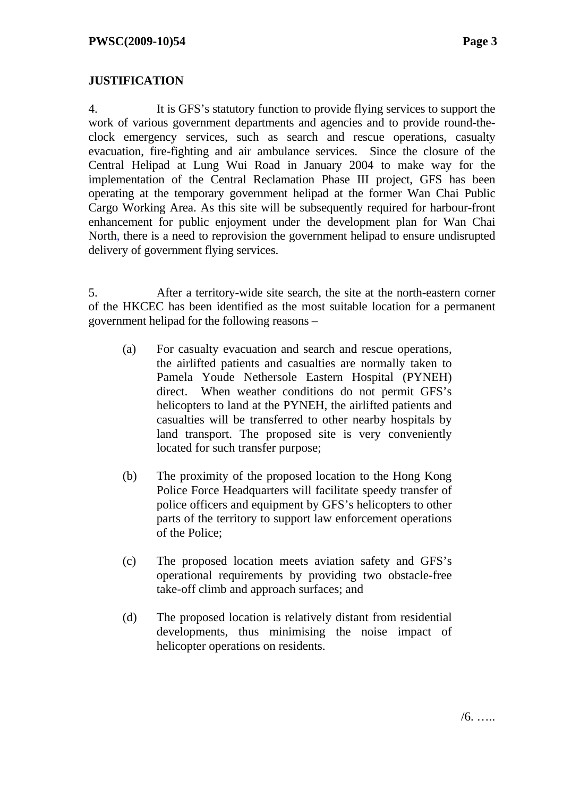## **JUSTIFICATION**

4. It is GFS's statutory function to provide flying services to support the work of various government departments and agencies and to provide round-theclock emergency services, such as search and rescue operations, casualty evacuation, fire-fighting and air ambulance services. Since the closure of the Central Helipad at Lung Wui Road in January 2004 to make way for the implementation of the Central Reclamation Phase III project, GFS has been operating at the temporary government helipad at the former Wan Chai Public Cargo Working Area. As this site will be subsequently required for harbour-front enhancement for public enjoyment under the development plan for Wan Chai North, there is a need to reprovision the government helipad to ensure undisrupted delivery of government flying services.

5. After a territory-wide site search, the site at the north-eastern corner of the HKCEC has been identified as the most suitable location for a permanent government helipad for the following reasons –

- (a) For casualty evacuation and search and rescue operations, the airlifted patients and casualties are normally taken to Pamela Youde Nethersole Eastern Hospital (PYNEH) direct. When weather conditions do not permit GFS's helicopters to land at the PYNEH, the airlifted patients and casualties will be transferred to other nearby hospitals by land transport. The proposed site is very conveniently located for such transfer purpose;
- (b) The proximity of the proposed location to the Hong Kong Police Force Headquarters will facilitate speedy transfer of police officers and equipment by GFS's helicopters to other parts of the territory to support law enforcement operations of the Police;
- (c) The proposed location meets aviation safety and GFS's operational requirements by providing two obstacle-free take-off climb and approach surfaces; and
- (d) The proposed location is relatively distant from residential developments, thus minimising the noise impact of helicopter operations on residents.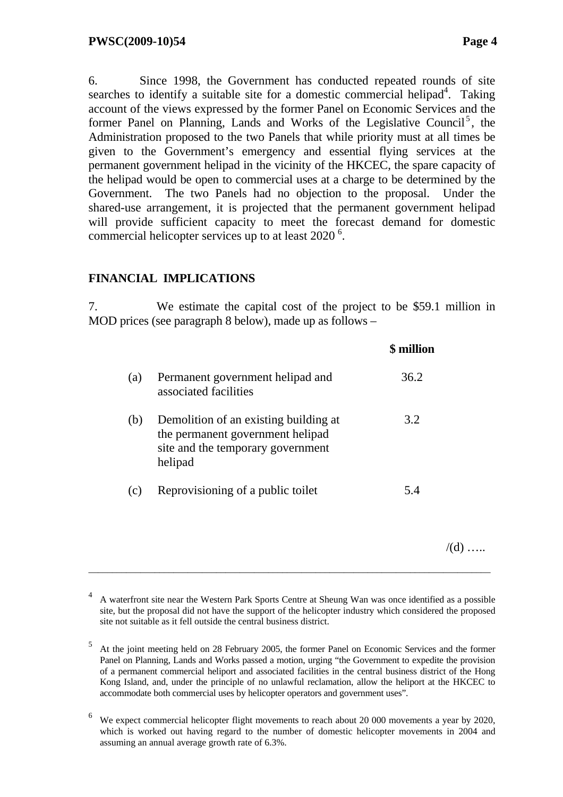/(d) …..

6. Since 1998, the Government has conducted repeated rounds of site searches to identify a suitable site for a domestic commercial helipad<sup>4</sup>. Taking account of the views expressed by the former Panel on Economic Services and the former Panel on Planning, Lands and Works of the Legislative Council<sup>5</sup>, the Administration proposed to the two Panels that while priority must at all times be given to the Government's emergency and essential flying services at the permanent government helipad in the vicinity of the HKCEC, the spare capacity of the helipad would be open to commercial uses at a charge to be determined by the Government. The two Panels had no objection to the proposal. Under the shared-use arrangement, it is projected that the permanent government helipad will provide sufficient capacity to meet the forecast demand for domestic commercial helicopter services up to at least 2020<sup>6</sup>.

#### **FINANCIAL IMPLICATIONS**

7. We estimate the capital cost of the project to be \$59.1 million in MOD prices (see paragraph 8 below), made up as follows –

|     |                                                                                                                           | \$ million |
|-----|---------------------------------------------------------------------------------------------------------------------------|------------|
| (a) | Permanent government helipad and<br>associated facilities                                                                 | 36.2       |
| (b) | Demolition of an existing building at<br>the permanent government helipad<br>site and the temporary government<br>helipad | 3.2        |
| (c) | Reprovisioning of a public toilet                                                                                         | 5.4        |
|     |                                                                                                                           |            |

<sup>4</sup> A waterfront site near the Western Park Sports Centre at Sheung Wan was once identified as a possible site, but the proposal did not have the support of the helicopter industry which considered the proposed site not suitable as it fell outside the central business district.

<sup>5</sup> At the joint meeting held on 28 February 2005, the former Panel on Economic Services and the former Panel on Planning, Lands and Works passed a motion, urging "the Government to expedite the provision of a permanent commercial heliport and associated facilities in the central business district of the Hong Kong Island, and, under the principle of no unlawful reclamation, allow the heliport at the HKCEC to accommodate both commercial uses by helicopter operators and government uses".

<sup>6</sup> We expect commercial helicopter flight movements to reach about 20 000 movements a year by 2020, which is worked out having regard to the number of domestic helicopter movements in 2004 and assuming an annual average growth rate of 6.3%.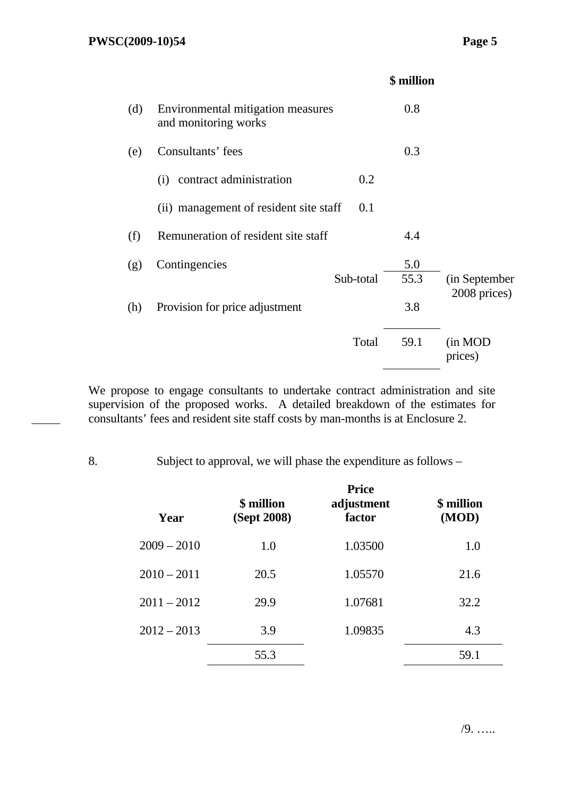|     |                                                           |           | <b>\$</b> million |                    |
|-----|-----------------------------------------------------------|-----------|-------------------|--------------------|
| (d) | Environmental mitigation measures<br>and monitoring works |           | 0.8               |                    |
| (e) | Consultants' fees                                         |           | 0.3               |                    |
|     | contract administration<br>(i)                            | 0.2       |                   |                    |
|     | (ii) management of resident site staff                    | 0.1       |                   |                    |
| (f) | Remuneration of resident site staff                       |           | 4.4               |                    |
| (g) | Contingencies                                             |           | 5.0               |                    |
|     |                                                           | Sub-total | 55.3              | (in September)     |
| (h) | Provision for price adjustment                            |           | 3.8               | 2008 prices)       |
|     |                                                           | Total     | 59.1              | (in MOD<br>prices) |
|     |                                                           |           |                   |                    |

We propose to engage consultants to undertake contract administration and site supervision of the proposed works. A detailed breakdown of the estimates for consultants' fees and resident site staff costs by man-months is at Enclosure 2.

8. Subject to approval, we will phase the expenditure as follows –

| Year          | \$ million<br>(Sept 2008) | <b>Price</b><br>adjustment<br>factor | \$ million<br>(MOD) |
|---------------|---------------------------|--------------------------------------|---------------------|
| $2009 - 2010$ | 1.0                       | 1.03500                              | 1.0                 |
| $2010 - 2011$ | 20.5                      | 1.05570                              | 21.6                |
| $2011 - 2012$ | 29.9                      | 1.07681                              | 32.2                |
| $2012 - 2013$ | 3.9                       | 1.09835                              | 4.3                 |
|               | 55.3                      |                                      | 59.1                |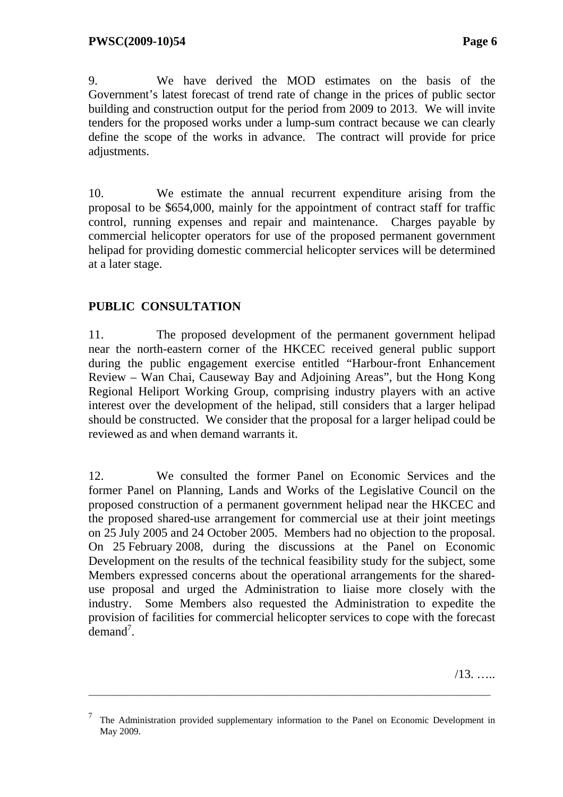9. We have derived the MOD estimates on the basis of the Government's latest forecast of trend rate of change in the prices of public sector building and construction output for the period from 2009 to 2013. We will invite tenders for the proposed works under a lump-sum contract because we can clearly define the scope of the works in advance. The contract will provide for price adjustments.

10. We estimate the annual recurrent expenditure arising from the proposal to be \$654,000, mainly for the appointment of contract staff for traffic control, running expenses and repair and maintenance. Charges payable by commercial helicopter operators for use of the proposed permanent government helipad for providing domestic commercial helicopter services will be determined at a later stage.

## **PUBLIC CONSULTATION**

11. The proposed development of the permanent government helipad near the north-eastern corner of the HKCEC received general public support during the public engagement exercise entitled "Harbour-front Enhancement Review – Wan Chai, Causeway Bay and Adjoining Areas", but the Hong Kong Regional Heliport Working Group, comprising industry players with an active interest over the development of the helipad, still considers that a larger helipad should be constructed. We consider that the proposal for a larger helipad could be reviewed as and when demand warrants it.

12. We consulted the former Panel on Economic Services and the former Panel on Planning, Lands and Works of the Legislative Council on the proposed construction of a permanent government helipad near the HKCEC and the proposed shared-use arrangement for commercial use at their joint meetings on 25 July 2005 and 24 October 2005. Members had no objection to the proposal. On 25 February 2008, during the discussions at the Panel on Economic Development on the results of the technical feasibility study for the subject, some Members expressed concerns about the operational arrangements for the shareduse proposal and urged the Administration to liaise more closely with the industry. Some Members also requested the Administration to expedite the provision of facilities for commercial helicopter services to cope with the forecast  $\tilde{d}$  emand<sup>7</sup>.

/13. …..

<sup>7</sup> The Administration provided supplementary information to the Panel on Economic Development in May 2009.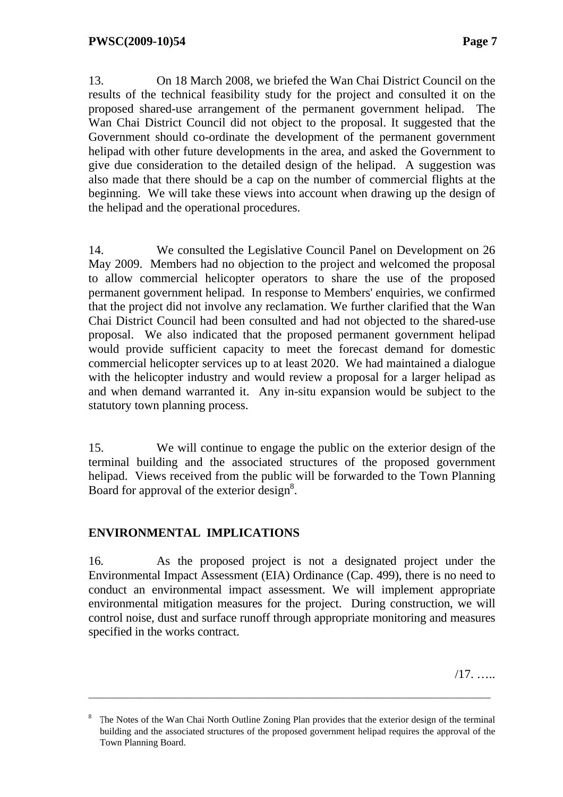13. On 18 March 2008, we briefed the Wan Chai District Council on the results of the technical feasibility study for the project and consulted it on the proposed shared-use arrangement of the permanent government helipad. The Wan Chai District Council did not object to the proposal. It suggested that the Government should co-ordinate the development of the permanent government helipad with other future developments in the area, and asked the Government to give due consideration to the detailed design of the helipad. A suggestion was also made that there should be a cap on the number of commercial flights at the beginning. We will take these views into account when drawing up the design of the helipad and the operational procedures.

14. We consulted the Legislative Council Panel on Development on 26 May 2009. Members had no objection to the project and welcomed the proposal to allow commercial helicopter operators to share the use of the proposed permanent government helipad. In response to Members' enquiries, we confirmed that the project did not involve any reclamation. We further clarified that the Wan Chai District Council had been consulted and had not objected to the shared-use proposal. We also indicated that the proposed permanent government helipad would provide sufficient capacity to meet the forecast demand for domestic commercial helicopter services up to at least 2020. We had maintained a dialogue with the helicopter industry and would review a proposal for a larger helipad as and when demand warranted it. Any in-situ expansion would be subject to the statutory town planning process.

15. We will continue to engage the public on the exterior design of the terminal building and the associated structures of the proposed government helipad. Views received from the public will be forwarded to the Town Planning Board for approval of the exterior design<sup>8</sup>.

## **ENVIRONMENTAL IMPLICATIONS**

16. As the proposed project is not a designated project under the Environmental Impact Assessment (EIA) Ordinance (Cap. 499), there is no need to conduct an environmental impact assessment. We will implement appropriate environmental mitigation measures for the project. During construction, we will control noise, dust and surface runoff through appropriate monitoring and measures specified in the works contract.

/17. …..

<sup>8</sup> The Notes of the Wan Chai North Outline Zoning Plan provides that the exterior design of the terminal building and the associated structures of the proposed government helipad requires the approval of the Town Planning Board.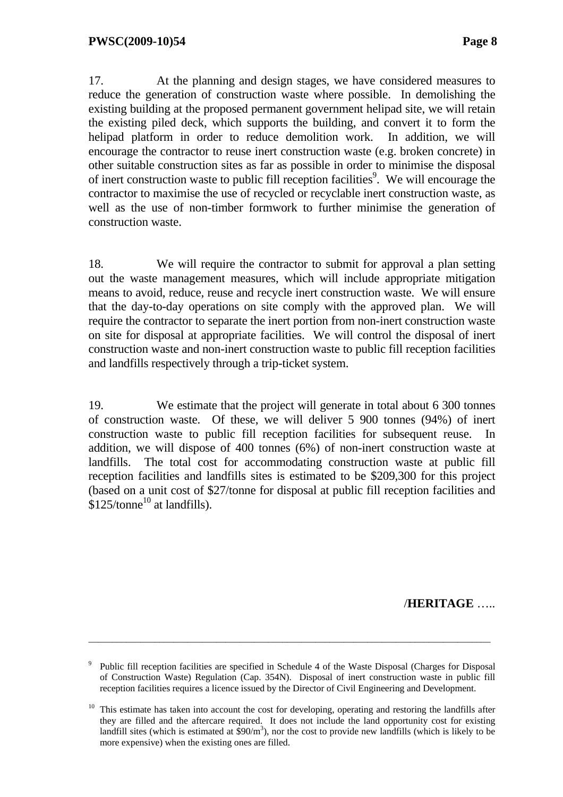17. At the planning and design stages, we have considered measures to reduce the generation of construction waste where possible. In demolishing the existing building at the proposed permanent government helipad site, we will retain the existing piled deck, which supports the building, and convert it to form the helipad platform in order to reduce demolition work. In addition, we will encourage the contractor to reuse inert construction waste (e.g. broken concrete) in other suitable construction sites as far as possible in order to minimise the disposal of inert construction waste to public fill reception facilities<sup>9</sup>. We will encourage the contractor to maximise the use of recycled or recyclable inert construction waste, as well as the use of non-timber formwork to further minimise the generation of construction waste.

18. We will require the contractor to submit for approval a plan setting out the waste management measures, which will include appropriate mitigation means to avoid, reduce, reuse and recycle inert construction waste. We will ensure that the day-to-day operations on site comply with the approved plan. We will require the contractor to separate the inert portion from non-inert construction waste on site for disposal at appropriate facilities. We will control the disposal of inert construction waste and non-inert construction waste to public fill reception facilities and landfills respectively through a trip-ticket system.

19. We estimate that the project will generate in total about 6 300 tonnes of construction waste. Of these, we will deliver 5 900 tonnes (94%) of inert construction waste to public fill reception facilities for subsequent reuse. In addition, we will dispose of 400 tonnes (6%) of non-inert construction waste at landfills. The total cost for accommodating construction waste at public fill reception facilities and landfills sites is estimated to be \$209,300 for this project (based on a unit cost of \$27/tonne for disposal at public fill reception facilities and  $$125$ /tonne<sup>10</sup> at landfills).

/**HERITAGE** …..

<sup>9</sup> Public fill reception facilities are specified in Schedule 4 of the Waste Disposal (Charges for Disposal of Construction Waste) Regulation (Cap. 354N). Disposal of inert construction waste in public fill reception facilities requires a licence issued by the Director of Civil Engineering and Development.

<sup>&</sup>lt;sup>10</sup> This estimate has taken into account the cost for developing, operating and restoring the landfills after they are filled and the aftercare required. It does not include the land opportunity cost for existing landfill sites (which is estimated at  $$90/m^3$ ), nor the cost to provide new landfills (which is likely to be more expensive) when the existing ones are filled.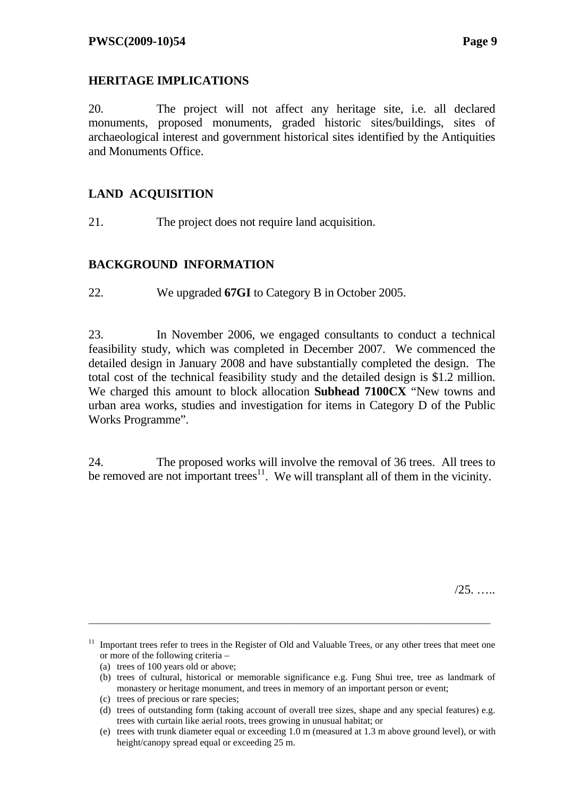## **HERITAGE IMPLICATIONS**

20. The project will not affect any heritage site, i.e. all declared monuments, proposed monuments, graded historic sites/buildings, sites of archaeological interest and government historical sites identified by the Antiquities and Monuments Office.

## **LAND ACQUISITION**

21. The project does not require land acquisition.

## **BACKGROUND INFORMATION**

22. We upgraded **67GI** to Category B in October 2005.

23. In November 2006, we engaged consultants to conduct a technical feasibility study, which was completed in December 2007. We commenced the detailed design in January 2008 and have substantially completed the design. The total cost of the technical feasibility study and the detailed design is \$1.2 million. We charged this amount to block allocation **Subhead 7100CX** "New towns and urban area works, studies and investigation for items in Category D of the Public Works Programme".

24. The proposed works will involve the removal of 36 trees. All trees to be removed are not important trees<sup>11</sup>. We will transplant all of them in the vicinity.

 $/25.$  ….

<sup>&</sup>lt;sup>11</sup> Important trees refer to trees in the Register of Old and Valuable Trees, or any other trees that meet one or more of the following criteria –

<sup>(</sup>a) trees of 100 years old or above;

<sup>(</sup>b) trees of cultural, historical or memorable significance e.g. Fung Shui tree, tree as landmark of monastery or heritage monument, and trees in memory of an important person or event;

<sup>(</sup>c) trees of precious or rare species;

<sup>(</sup>d) trees of outstanding form (taking account of overall tree sizes, shape and any special features) e.g. trees with curtain like aerial roots, trees growing in unusual habitat; or

<sup>(</sup>e) trees with trunk diameter equal or exceeding 1.0 m (measured at 1.3 m above ground level), or with height/canopy spread equal or exceeding 25 m.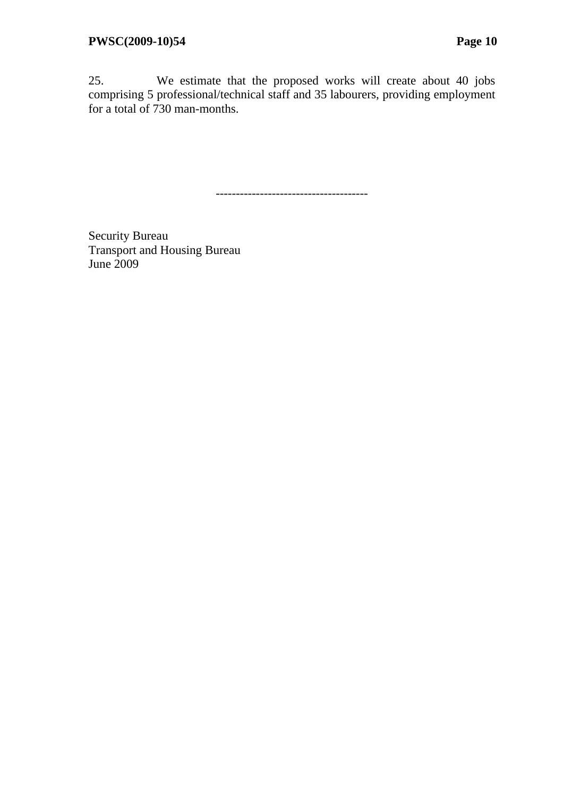25. We estimate that the proposed works will create about 40 jobs comprising 5 professional/technical staff and 35 labourers, providing employment for a total of 730 man-months.

--------------------------------------

Security Bureau Transport and Housing Bureau June 2009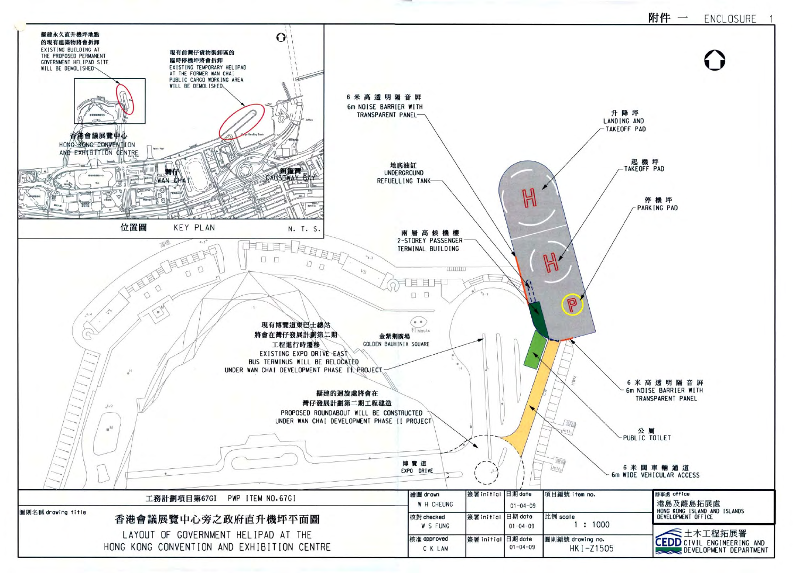

#### 附件 一 ENCLOSURE



升降坪 LANDING AND -TAKEOFF PAD

> 起機坪 TAKEOFF PAD

停機坪 PARK ING PAD

6 米 高 透 明 隔 音 屏 6m NOISE BARRIER WITH TRANSPARENT PANEL

公厕 PUBLIC TOILET

6 米 闊 車 輛 通 道 6m WIDE VEHICULAR ACCESS

| 辦事處 office<br>港島及離島拓展處<br>HONG KONG ISLAND AND ISLANDS<br>DEVELOPMENT OFFICE |
|------------------------------------------------------------------------------|
| 三土木工程拓展署<br><b>CEDD</b> CIVIL ENGINEERING AND<br>DEVELOPMENT DEPARTMENT      |